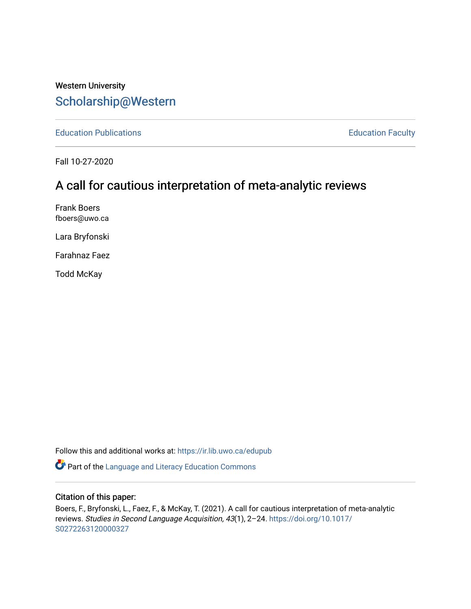# Western University [Scholarship@Western](https://ir.lib.uwo.ca/)

[Education Publications](https://ir.lib.uwo.ca/edupub) **Education** Faculty

Fall 10-27-2020

# A call for cautious interpretation of meta-analytic reviews

Frank Boers fboers@uwo.ca

Lara Bryfonski

Farahnaz Faez

Todd McKay

Follow this and additional works at: [https://ir.lib.uwo.ca/edupub](https://ir.lib.uwo.ca/edupub?utm_source=ir.lib.uwo.ca%2Fedupub%2F278&utm_medium=PDF&utm_campaign=PDFCoverPages) 

**Part of the Language and Literacy Education Commons** 

# Citation of this paper:

Boers, F., Bryfonski, L., Faez, F., & McKay, T. (2021). A call for cautious interpretation of meta-analytic reviews. Studies in Second Language Acquisition, 43(1), 2–24. [https://doi.org/10.1017/](https://doi.org/10.1017/S0272263120000327) [S0272263120000327](https://doi.org/10.1017/S0272263120000327)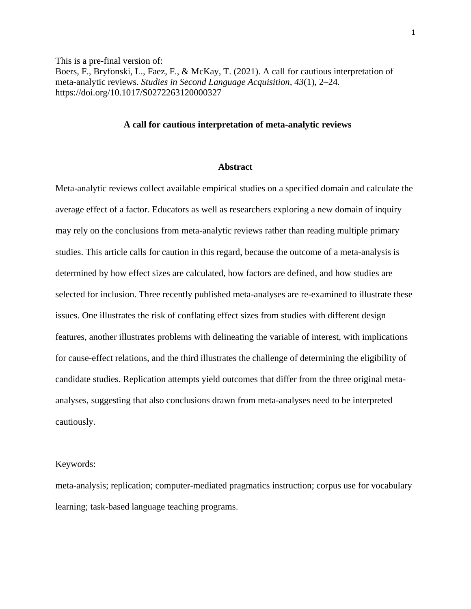This is a pre-final version of: Boers, F., Bryfonski, L., Faez, F., & McKay, T. (2021). A call for cautious interpretation of meta-analytic reviews. *Studies in Second Language Acquisition, 43*(1), 2–24*.* <https://doi.org/10.1017/S0272263120000327>

# **A call for cautious interpretation of meta-analytic reviews**

# **Abstract**

Meta-analytic reviews collect available empirical studies on a specified domain and calculate the average effect of a factor. Educators as well as researchers exploring a new domain of inquiry may rely on the conclusions from meta-analytic reviews rather than reading multiple primary studies. This article calls for caution in this regard, because the outcome of a meta-analysis is determined by how effect sizes are calculated, how factors are defined, and how studies are selected for inclusion. Three recently published meta-analyses are re-examined to illustrate these issues. One illustrates the risk of conflating effect sizes from studies with different design features, another illustrates problems with delineating the variable of interest, with implications for cause-effect relations, and the third illustrates the challenge of determining the eligibility of candidate studies. Replication attempts yield outcomes that differ from the three original metaanalyses, suggesting that also conclusions drawn from meta-analyses need to be interpreted cautiously.

### Keywords:

meta-analysis; replication; computer-mediated pragmatics instruction; corpus use for vocabulary learning; task-based language teaching programs.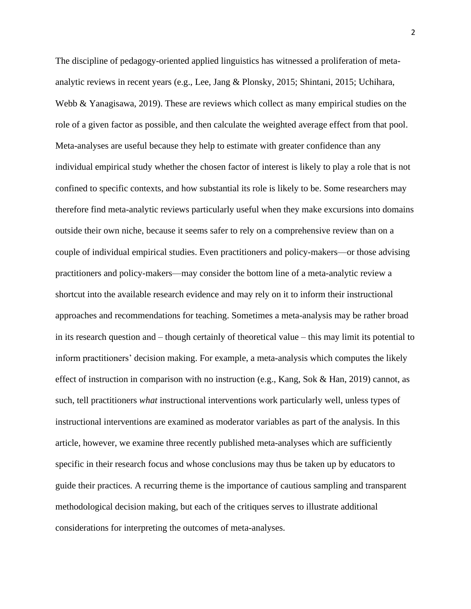The discipline of pedagogy-oriented applied linguistics has witnessed a proliferation of metaanalytic reviews in recent years (e.g., Lee, Jang & Plonsky, 2015; Shintani, 2015; Uchihara, Webb & Yanagisawa, 2019). These are reviews which collect as many empirical studies on the role of a given factor as possible, and then calculate the weighted average effect from that pool. Meta-analyses are useful because they help to estimate with greater confidence than any individual empirical study whether the chosen factor of interest is likely to play a role that is not confined to specific contexts, and how substantial its role is likely to be. Some researchers may therefore find meta-analytic reviews particularly useful when they make excursions into domains outside their own niche, because it seems safer to rely on a comprehensive review than on a couple of individual empirical studies. Even practitioners and policy-makers—or those advising practitioners and policy-makers—may consider the bottom line of a meta-analytic review a shortcut into the available research evidence and may rely on it to inform their instructional approaches and recommendations for teaching. Sometimes a meta-analysis may be rather broad in its research question and – though certainly of theoretical value – this may limit its potential to inform practitioners' decision making. For example, a meta-analysis which computes the likely effect of instruction in comparison with no instruction (e.g., Kang, Sok & Han, 2019) cannot, as such, tell practitioners *what* instructional interventions work particularly well, unless types of instructional interventions are examined as moderator variables as part of the analysis. In this article, however, we examine three recently published meta-analyses which are sufficiently specific in their research focus and whose conclusions may thus be taken up by educators to guide their practices. A recurring theme is the importance of cautious sampling and transparent methodological decision making, but each of the critiques serves to illustrate additional considerations for interpreting the outcomes of meta-analyses.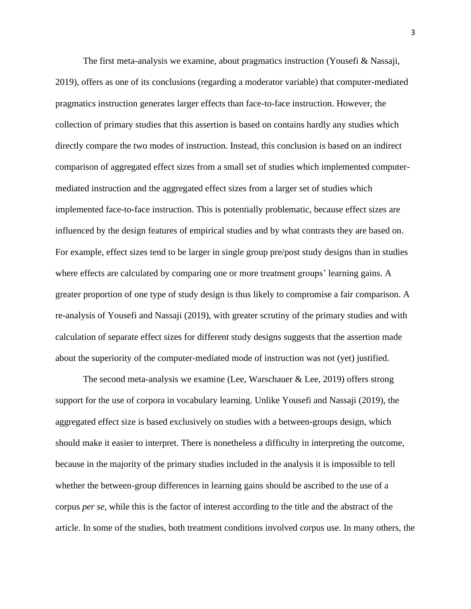The first meta-analysis we examine, about pragmatics instruction (Yousefi & Nassaji, 2019), offers as one of its conclusions (regarding a moderator variable) that computer-mediated pragmatics instruction generates larger effects than face-to-face instruction. However, the collection of primary studies that this assertion is based on contains hardly any studies which directly compare the two modes of instruction. Instead, this conclusion is based on an indirect comparison of aggregated effect sizes from a small set of studies which implemented computermediated instruction and the aggregated effect sizes from a larger set of studies which implemented face-to-face instruction. This is potentially problematic, because effect sizes are influenced by the design features of empirical studies and by what contrasts they are based on. For example, effect sizes tend to be larger in single group pre/post study designs than in studies where effects are calculated by comparing one or more treatment groups' learning gains. A greater proportion of one type of study design is thus likely to compromise a fair comparison. A re-analysis of Yousefi and Nassaji (2019), with greater scrutiny of the primary studies and with calculation of separate effect sizes for different study designs suggests that the assertion made about the superiority of the computer-mediated mode of instruction was not (yet) justified.

The second meta-analysis we examine (Lee, Warschauer & Lee, 2019) offers strong support for the use of corpora in vocabulary learning. Unlike Yousefi and Nassaji (2019), the aggregated effect size is based exclusively on studies with a between-groups design, which should make it easier to interpret. There is nonetheless a difficulty in interpreting the outcome, because in the majority of the primary studies included in the analysis it is impossible to tell whether the between-group differences in learning gains should be ascribed to the use of a corpus *per se*, while this is the factor of interest according to the title and the abstract of the article. In some of the studies, both treatment conditions involved corpus use. In many others, the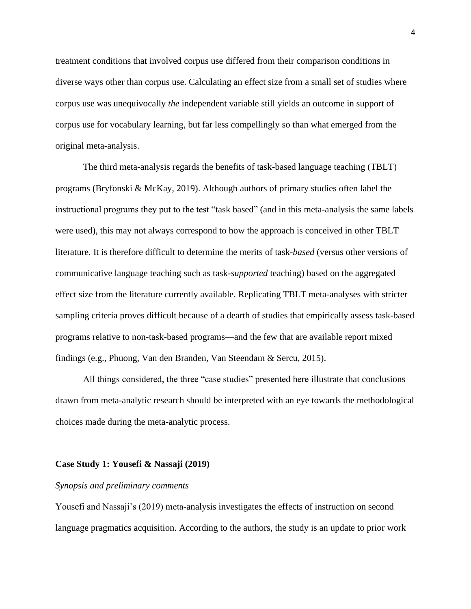treatment conditions that involved corpus use differed from their comparison conditions in diverse ways other than corpus use. Calculating an effect size from a small set of studies where corpus use was unequivocally *the* independent variable still yields an outcome in support of corpus use for vocabulary learning, but far less compellingly so than what emerged from the original meta-analysis.

The third meta-analysis regards the benefits of task-based language teaching (TBLT) programs (Bryfonski & McKay, 2019). Although authors of primary studies often label the instructional programs they put to the test "task based" (and in this meta-analysis the same labels were used), this may not always correspond to how the approach is conceived in other TBLT literature. It is therefore difficult to determine the merits of task-*based* (versus other versions of communicative language teaching such as task-*supported* teaching) based on the aggregated effect size from the literature currently available. Replicating TBLT meta-analyses with stricter sampling criteria proves difficult because of a dearth of studies that empirically assess task-based programs relative to non-task-based programs—and the few that are available report mixed findings (e.g., Phuong, Van den Branden, Van Steendam & Sercu, 2015).

All things considered, the three "case studies" presented here illustrate that conclusions drawn from meta-analytic research should be interpreted with an eye towards the methodological choices made during the meta-analytic process.

#### **Case Study 1: Yousefi & Nassaji (2019)**

# *Synopsis and preliminary comments*

Yousefi and Nassaji's (2019) meta-analysis investigates the effects of instruction on second language pragmatics acquisition. According to the authors, the study is an update to prior work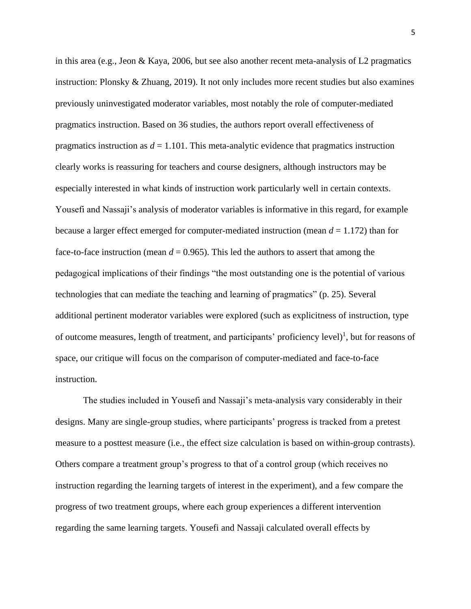in this area (e.g., Jeon & Kaya, 2006, but see also another recent meta-analysis of L2 pragmatics instruction: Plonsky & Zhuang, 2019). It not only includes more recent studies but also examines previously uninvestigated moderator variables, most notably the role of computer-mediated pragmatics instruction. Based on 36 studies, the authors report overall effectiveness of pragmatics instruction as *d* = 1.101. This meta-analytic evidence that pragmatics instruction clearly works is reassuring for teachers and course designers, although instructors may be especially interested in what kinds of instruction work particularly well in certain contexts. Yousefi and Nassaji's analysis of moderator variables is informative in this regard, for example because a larger effect emerged for computer-mediated instruction (mean *d* = 1.172) than for face-to-face instruction (mean  $d = 0.965$ ). This led the authors to assert that among the pedagogical implications of their findings "the most outstanding one is the potential of various technologies that can mediate the teaching and learning of pragmatics" (p. 25). Several additional pertinent moderator variables were explored (such as explicitness of instruction, type of outcome measures, length of treatment, and participants' proficiency level)<sup>1</sup>, but for reasons of space, our critique will focus on the comparison of computer-mediated and face-to-face instruction.

The studies included in Yousefi and Nassaji's meta-analysis vary considerably in their designs. Many are single-group studies, where participants' progress is tracked from a pretest measure to a posttest measure (i.e., the effect size calculation is based on within-group contrasts). Others compare a treatment group's progress to that of a control group (which receives no instruction regarding the learning targets of interest in the experiment), and a few compare the progress of two treatment groups, where each group experiences a different intervention regarding the same learning targets. Yousefi and Nassaji calculated overall effects by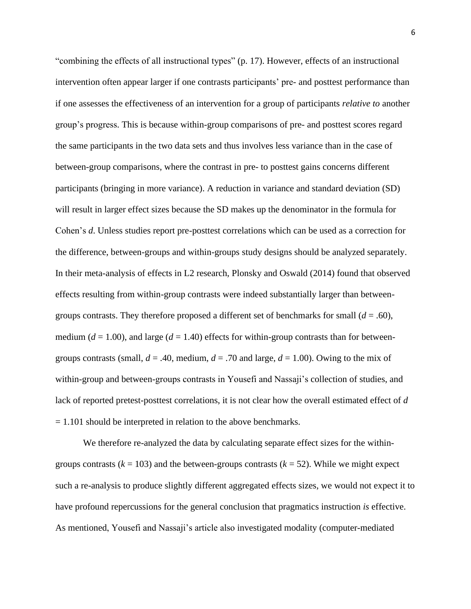"combining the effects of all instructional types" (p. 17). However, effects of an instructional intervention often appear larger if one contrasts participants' pre- and posttest performance than if one assesses the effectiveness of an intervention for a group of participants *relative to* another group's progress. This is because within-group comparisons of pre- and posttest scores regard the same participants in the two data sets and thus involves less variance than in the case of between-group comparisons, where the contrast in pre- to posttest gains concerns different participants (bringing in more variance). A reduction in variance and standard deviation (SD) will result in larger effect sizes because the SD makes up the denominator in the formula for Cohen's *d*. Unless studies report pre-posttest correlations which can be used as a correction for the difference, between-groups and within-groups study designs should be analyzed separately. In their meta-analysis of effects in L2 research, Plonsky and Oswald (2014) found that observed effects resulting from within-group contrasts were indeed substantially larger than betweengroups contrasts. They therefore proposed a different set of benchmarks for small  $(d = .60)$ , medium ( $d = 1.00$ ), and large ( $d = 1.40$ ) effects for within-group contrasts than for betweengroups contrasts (small,  $d = .40$ , medium,  $d = .70$  and large,  $d = 1.00$ ). Owing to the mix of within-group and between-groups contrasts in Yousefi and Nassaji's collection of studies, and lack of reported pretest-posttest correlations, it is not clear how the overall estimated effect of *d*  $= 1.101$  should be interpreted in relation to the above benchmarks.

We therefore re-analyzed the data by calculating separate effect sizes for the withingroups contrasts  $(k = 103)$  and the between-groups contrasts  $(k = 52)$ . While we might expect such a re-analysis to produce slightly different aggregated effects sizes, we would not expect it to have profound repercussions for the general conclusion that pragmatics instruction *is* effective. As mentioned, Yousefi and Nassaji's article also investigated modality (computer-mediated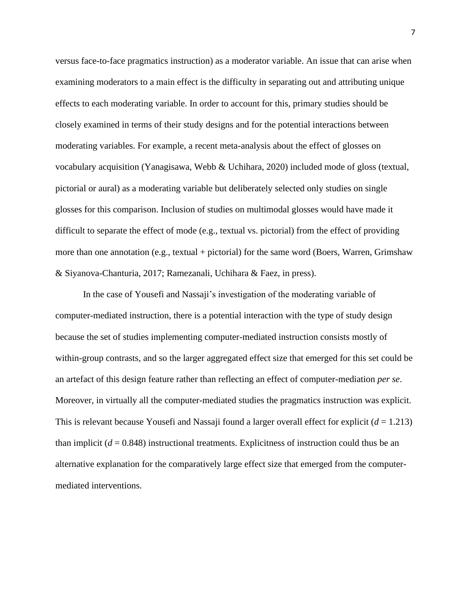versus face-to-face pragmatics instruction) as a moderator variable. An issue that can arise when examining moderators to a main effect is the difficulty in separating out and attributing unique effects to each moderating variable. In order to account for this, primary studies should be closely examined in terms of their study designs and for the potential interactions between moderating variables. For example, a recent meta-analysis about the effect of glosses on vocabulary acquisition (Yanagisawa, Webb & Uchihara, 2020) included mode of gloss (textual, pictorial or aural) as a moderating variable but deliberately selected only studies on single glosses for this comparison. Inclusion of studies on multimodal glosses would have made it difficult to separate the effect of mode (e.g., textual vs. pictorial) from the effect of providing more than one annotation (e.g., textual + pictorial) for the same word (Boers, Warren, Grimshaw & Siyanova-Chanturia, 2017; Ramezanali, Uchihara & Faez, in press).

In the case of Yousefi and Nassaji's investigation of the moderating variable of computer-mediated instruction, there is a potential interaction with the type of study design because the set of studies implementing computer-mediated instruction consists mostly of within-group contrasts, and so the larger aggregated effect size that emerged for this set could be an artefact of this design feature rather than reflecting an effect of computer-mediation *per se*. Moreover, in virtually all the computer-mediated studies the pragmatics instruction was explicit. This is relevant because Yousefi and Nassaji found a larger overall effect for explicit (*d* = 1.213) than implicit  $(d = 0.848)$  instructional treatments. Explicitness of instruction could thus be an alternative explanation for the comparatively large effect size that emerged from the computermediated interventions.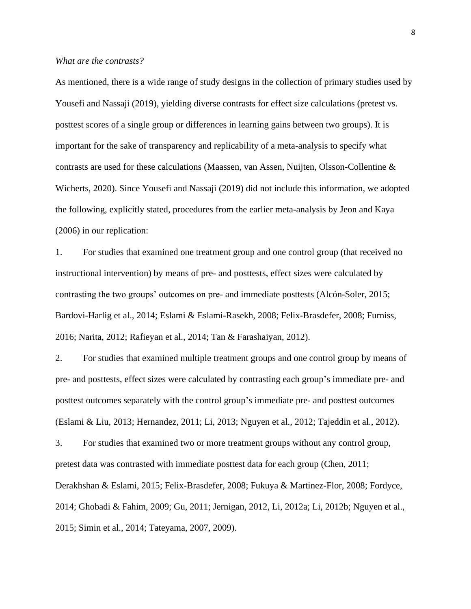# *What are the contrasts?*

As mentioned, there is a wide range of study designs in the collection of primary studies used by Yousefi and Nassaji (2019), yielding diverse contrasts for effect size calculations (pretest vs. posttest scores of a single group or differences in learning gains between two groups). It is important for the sake of transparency and replicability of a meta-analysis to specify what contrasts are used for these calculations (Maassen, van Assen, Nuijten, Olsson-Collentine & Wicherts, 2020). Since Yousefi and Nassaji (2019) did not include this information, we adopted the following, explicitly stated, procedures from the earlier meta-analysis by Jeon and Kaya (2006) in our replication:

1. For studies that examined one treatment group and one control group (that received no instructional intervention) by means of pre- and posttests, effect sizes were calculated by contrasting the two groups' outcomes on pre- and immediate posttests (Alcón-Soler, 2015; Bardovi-Harlig et al., 2014; Eslami & Eslami-Rasekh, 2008; Felix-Brasdefer, 2008; Furniss, 2016; Narita, 2012; Rafieyan et al., 2014; Tan & Farashaiyan, 2012).

2. For studies that examined multiple treatment groups and one control group by means of pre- and posttests, effect sizes were calculated by contrasting each group's immediate pre- and posttest outcomes separately with the control group's immediate pre- and posttest outcomes (Eslami & Liu, 2013; Hernandez, 2011; Li, 2013; Nguyen et al., 2012; Tajeddin et al., 2012).

3. For studies that examined two or more treatment groups without any control group, pretest data was contrasted with immediate posttest data for each group (Chen, 2011; Derakhshan & Eslami, 2015; Felix-Brasdefer, 2008; Fukuya & Martinez-Flor, 2008; Fordyce, 2014; Ghobadi & Fahim, 2009; Gu, 2011; Jernigan, 2012, Li, 2012a; Li, 2012b; Nguyen et al., 2015; Simin et al., 2014; Tateyama, 2007, 2009).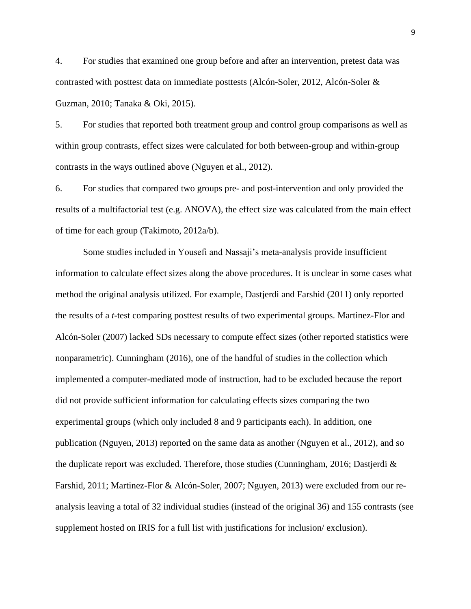4. For studies that examined one group before and after an intervention, pretest data was contrasted with posttest data on immediate posttests (Alcón-Soler, 2012, Alcón-Soler & Guzman, 2010; Tanaka & Oki, 2015).

5. For studies that reported both treatment group and control group comparisons as well as within group contrasts, effect sizes were calculated for both between-group and within-group contrasts in the ways outlined above (Nguyen et al., 2012).

6. For studies that compared two groups pre- and post-intervention and only provided the results of a multifactorial test (e.g. ANOVA), the effect size was calculated from the main effect of time for each group (Takimoto, 2012a/b).

Some studies included in Yousefi and Nassaji's meta-analysis provide insufficient information to calculate effect sizes along the above procedures. It is unclear in some cases what method the original analysis utilized. For example, Dastjerdi and Farshid (2011) only reported the results of a *t*-test comparing posttest results of two experimental groups. Martinez-Flor and Alcón-Soler (2007) lacked SDs necessary to compute effect sizes (other reported statistics were nonparametric). Cunningham (2016), one of the handful of studies in the collection which implemented a computer-mediated mode of instruction, had to be excluded because the report did not provide sufficient information for calculating effects sizes comparing the two experimental groups (which only included 8 and 9 participants each). In addition, one publication (Nguyen, 2013) reported on the same data as another (Nguyen et al., 2012), and so the duplicate report was excluded. Therefore, those studies (Cunningham, 2016; Dastjerdi & Farshid, 2011; Martinez-Flor & Alcón-Soler, 2007; Nguyen, 2013) were excluded from our reanalysis leaving a total of 32 individual studies (instead of the original 36) and 155 contrasts (see supplement hosted on IRIS for a full list with justifications for inclusion/ exclusion).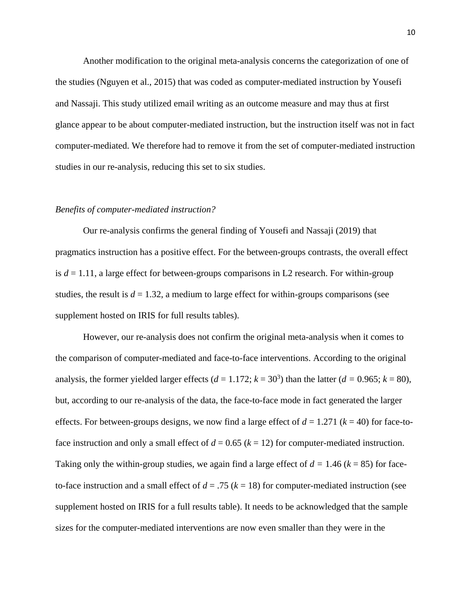Another modification to the original meta-analysis concerns the categorization of one of the studies (Nguyen et al., 2015) that was coded as computer-mediated instruction by Yousefi and Nassaji. This study utilized email writing as an outcome measure and may thus at first glance appear to be about computer-mediated instruction, but the instruction itself was not in fact computer-mediated. We therefore had to remove it from the set of computer-mediated instruction studies in our re-analysis, reducing this set to six studies.

# *Benefits of computer-mediated instruction?*

Our re-analysis confirms the general finding of Yousefi and Nassaji (2019) that pragmatics instruction has a positive effect. For the between-groups contrasts, the overall effect is  $d = 1.11$ , a large effect for between-groups comparisons in L2 research. For within-group studies, the result is  $d = 1.32$ , a medium to large effect for within-groups comparisons (see supplement hosted on IRIS for full results tables).

However, our re-analysis does not confirm the original meta-analysis when it comes to the comparison of computer-mediated and face-to-face interventions. According to the original analysis, the former yielded larger effects  $(d = 1.172; k = 30<sup>3</sup>)$  than the latter  $(d = 0.965; k = 80)$ , but, according to our re-analysis of the data, the face-to-face mode in fact generated the larger effects. For between-groups designs, we now find a large effect of  $d = 1.271$  ( $k = 40$ ) for face-toface instruction and only a small effect of  $d = 0.65$  ( $k = 12$ ) for computer-mediated instruction. Taking only the within-group studies, we again find a large effect of  $d = 1.46$  ( $k = 85$ ) for faceto-face instruction and a small effect of  $d = .75$  ( $k = 18$ ) for computer-mediated instruction (see supplement hosted on IRIS for a full results table). It needs to be acknowledged that the sample sizes for the computer-mediated interventions are now even smaller than they were in the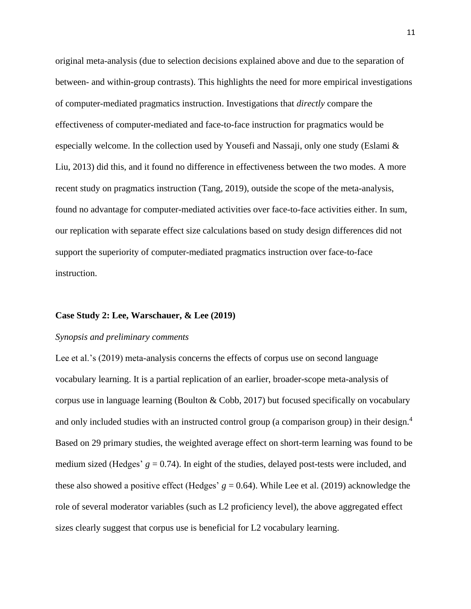original meta-analysis (due to selection decisions explained above and due to the separation of between- and within-group contrasts). This highlights the need for more empirical investigations of computer-mediated pragmatics instruction. Investigations that *directly* compare the effectiveness of computer-mediated and face-to-face instruction for pragmatics would be especially welcome. In the collection used by Yousefi and Nassaji, only one study (Eslami  $\&$ Liu, 2013) did this, and it found no difference in effectiveness between the two modes. A more recent study on pragmatics instruction (Tang, 2019), outside the scope of the meta-analysis, found no advantage for computer-mediated activities over face-to-face activities either. In sum, our replication with separate effect size calculations based on study design differences did not support the superiority of computer-mediated pragmatics instruction over face-to-face instruction.

# **Case Study 2: Lee, Warschauer, & Lee (2019)**

#### *Synopsis and preliminary comments*

Lee et al.'s (2019) meta-analysis concerns the effects of corpus use on second language vocabulary learning. It is a partial replication of an earlier, broader-scope meta-analysis of corpus use in language learning (Boulton & Cobb, 2017) but focused specifically on vocabulary and only included studies with an instructed control group (a comparison group) in their design. 4 Based on 29 primary studies, the weighted average effect on short-term learning was found to be medium sized (Hedges'  $g = 0.74$ ). In eight of the studies, delayed post-tests were included, and these also showed a positive effect (Hedges'  $g = 0.64$ ). While Lee et al. (2019) acknowledge the role of several moderator variables (such as L2 proficiency level), the above aggregated effect sizes clearly suggest that corpus use is beneficial for L2 vocabulary learning.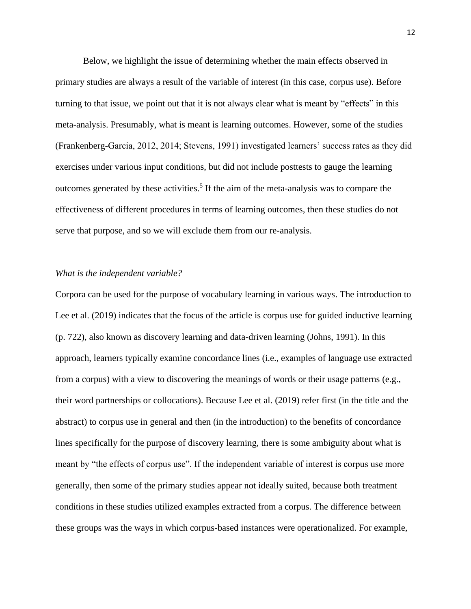Below, we highlight the issue of determining whether the main effects observed in primary studies are always a result of the variable of interest (in this case, corpus use). Before turning to that issue, we point out that it is not always clear what is meant by "effects" in this meta-analysis. Presumably, what is meant is learning outcomes. However, some of the studies (Frankenberg-Garcia, 2012, 2014; Stevens, 1991) investigated learners' success rates as they did exercises under various input conditions, but did not include posttests to gauge the learning outcomes generated by these activities.<sup>5</sup> If the aim of the meta-analysis was to compare the effectiveness of different procedures in terms of learning outcomes, then these studies do not serve that purpose, and so we will exclude them from our re-analysis.

#### *What is the independent variable?*

Corpora can be used for the purpose of vocabulary learning in various ways. The introduction to Lee et al. (2019) indicates that the focus of the article is corpus use for guided inductive learning (p. 722), also known as discovery learning and data-driven learning (Johns, 1991). In this approach, learners typically examine concordance lines (i.e., examples of language use extracted from a corpus) with a view to discovering the meanings of words or their usage patterns (e.g., their word partnerships or collocations). Because Lee et al. (2019) refer first (in the title and the abstract) to corpus use in general and then (in the introduction) to the benefits of concordance lines specifically for the purpose of discovery learning, there is some ambiguity about what is meant by "the effects of corpus use". If the independent variable of interest is corpus use more generally, then some of the primary studies appear not ideally suited, because both treatment conditions in these studies utilized examples extracted from a corpus. The difference between these groups was the ways in which corpus-based instances were operationalized. For example,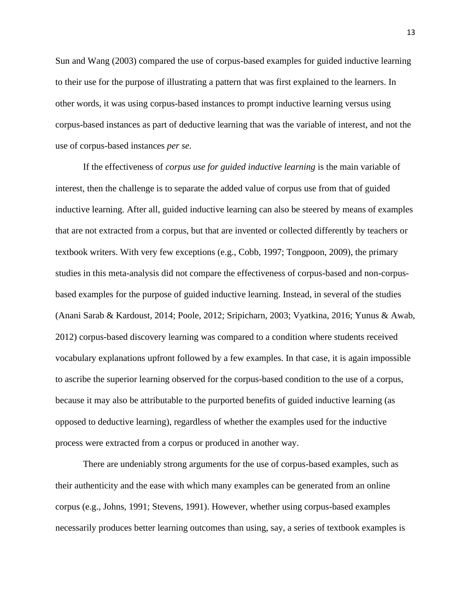Sun and Wang (2003) compared the use of corpus-based examples for guided inductive learning to their use for the purpose of illustrating a pattern that was first explained to the learners. In other words, it was using corpus-based instances to prompt inductive learning versus using corpus-based instances as part of deductive learning that was the variable of interest, and not the use of corpus-based instances *per se*.

If the effectiveness of *corpus use for guided inductive learning* is the main variable of interest, then the challenge is to separate the added value of corpus use from that of guided inductive learning. After all, guided inductive learning can also be steered by means of examples that are not extracted from a corpus, but that are invented or collected differently by teachers or textbook writers. With very few exceptions (e.g., Cobb, 1997; Tongpoon, 2009), the primary studies in this meta-analysis did not compare the effectiveness of corpus-based and non-corpusbased examples for the purpose of guided inductive learning. Instead, in several of the studies (Anani Sarab & Kardoust, 2014; Poole, 2012; Sripicharn, 2003; Vyatkina, 2016; Yunus & Awab, 2012) corpus-based discovery learning was compared to a condition where students received vocabulary explanations upfront followed by a few examples. In that case, it is again impossible to ascribe the superior learning observed for the corpus-based condition to the use of a corpus, because it may also be attributable to the purported benefits of guided inductive learning (as opposed to deductive learning), regardless of whether the examples used for the inductive process were extracted from a corpus or produced in another way.

There are undeniably strong arguments for the use of corpus-based examples, such as their authenticity and the ease with which many examples can be generated from an online corpus (e.g., Johns, 1991; Stevens, 1991). However, whether using corpus-based examples necessarily produces better learning outcomes than using, say, a series of textbook examples is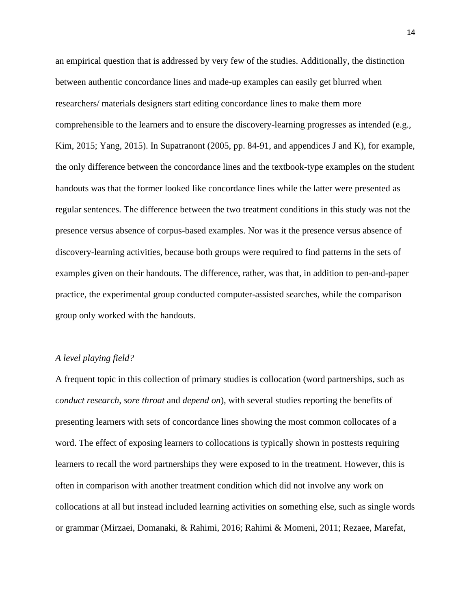an empirical question that is addressed by very few of the studies. Additionally, the distinction between authentic concordance lines and made-up examples can easily get blurred when researchers/ materials designers start editing concordance lines to make them more comprehensible to the learners and to ensure the discovery-learning progresses as intended (e.g., Kim, 2015; Yang, 2015). In Supatranont (2005, pp. 84-91, and appendices J and K), for example, the only difference between the concordance lines and the textbook-type examples on the student handouts was that the former looked like concordance lines while the latter were presented as regular sentences. The difference between the two treatment conditions in this study was not the presence versus absence of corpus-based examples. Nor was it the presence versus absence of discovery-learning activities, because both groups were required to find patterns in the sets of examples given on their handouts. The difference, rather, was that, in addition to pen-and-paper practice, the experimental group conducted computer-assisted searches, while the comparison group only worked with the handouts.

## *A level playing field?*

A frequent topic in this collection of primary studies is collocation (word partnerships, such as *conduct research*, *sore throat* and *depend on*), with several studies reporting the benefits of presenting learners with sets of concordance lines showing the most common collocates of a word. The effect of exposing learners to collocations is typically shown in posttests requiring learners to recall the word partnerships they were exposed to in the treatment. However, this is often in comparison with another treatment condition which did not involve any work on collocations at all but instead included learning activities on something else, such as single words or grammar (Mirzaei, Domanaki, & Rahimi, 2016; Rahimi & Momeni, 2011; Rezaee, Marefat,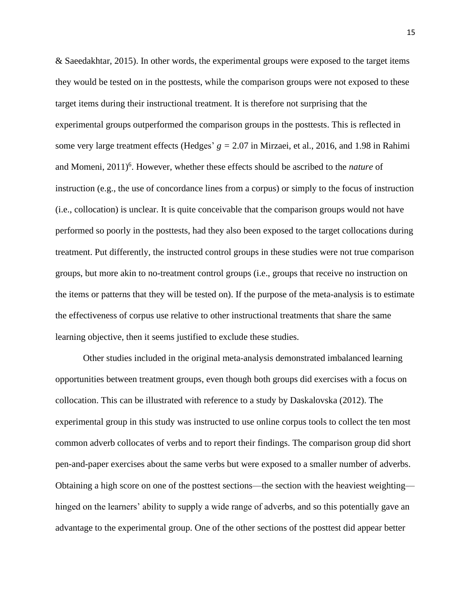& Saeedakhtar, 2015). In other words, the experimental groups were exposed to the target items they would be tested on in the posttests, while the comparison groups were not exposed to these target items during their instructional treatment. It is therefore not surprising that the experimental groups outperformed the comparison groups in the posttests. This is reflected in some very large treatment effects (Hedges'  $g = 2.07$  in Mirzaei, et al., 2016, and 1.98 in Rahimi and Momeni, 2011)<sup>6</sup>. However, whether these effects should be ascribed to the *nature* of instruction (e.g., the use of concordance lines from a corpus) or simply to the focus of instruction (i.e., collocation) is unclear. It is quite conceivable that the comparison groups would not have performed so poorly in the posttests, had they also been exposed to the target collocations during treatment. Put differently, the instructed control groups in these studies were not true comparison groups, but more akin to no-treatment control groups (i.e., groups that receive no instruction on the items or patterns that they will be tested on). If the purpose of the meta-analysis is to estimate the effectiveness of corpus use relative to other instructional treatments that share the same learning objective, then it seems justified to exclude these studies.

Other studies included in the original meta-analysis demonstrated imbalanced learning opportunities between treatment groups, even though both groups did exercises with a focus on collocation. This can be illustrated with reference to a study by Daskalovska (2012). The experimental group in this study was instructed to use online corpus tools to collect the ten most common adverb collocates of verbs and to report their findings. The comparison group did short pen-and-paper exercises about the same verbs but were exposed to a smaller number of adverbs. Obtaining a high score on one of the posttest sections—the section with the heaviest weighting hinged on the learners' ability to supply a wide range of adverbs, and so this potentially gave an advantage to the experimental group. One of the other sections of the posttest did appear better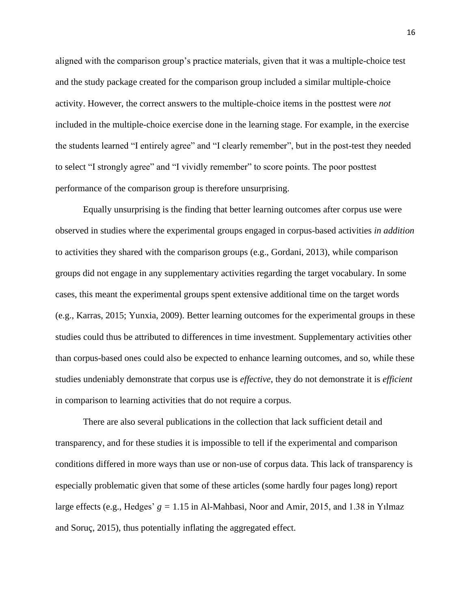aligned with the comparison group's practice materials, given that it was a multiple-choice test and the study package created for the comparison group included a similar multiple-choice activity. However, the correct answers to the multiple-choice items in the posttest were *not*  included in the multiple-choice exercise done in the learning stage. For example, in the exercise the students learned "I entirely agree" and "I clearly remember", but in the post-test they needed to select "I strongly agree" and "I vividly remember" to score points. The poor posttest performance of the comparison group is therefore unsurprising.

Equally unsurprising is the finding that better learning outcomes after corpus use were observed in studies where the experimental groups engaged in corpus-based activities *in addition* to activities they shared with the comparison groups (e.g., Gordani, 2013), while comparison groups did not engage in any supplementary activities regarding the target vocabulary. In some cases, this meant the experimental groups spent extensive additional time on the target words (e.g., Karras, 2015; Yunxia, 2009). Better learning outcomes for the experimental groups in these studies could thus be attributed to differences in time investment. Supplementary activities other than corpus-based ones could also be expected to enhance learning outcomes, and so, while these studies undeniably demonstrate that corpus use is *effective*, they do not demonstrate it is *efficient* in comparison to learning activities that do not require a corpus.

There are also several publications in the collection that lack sufficient detail and transparency, and for these studies it is impossible to tell if the experimental and comparison conditions differed in more ways than use or non-use of corpus data. This lack of transparency is especially problematic given that some of these articles (some hardly four pages long) report large effects (e.g., Hedges'  $g = 1.15$  in Al-Mahbasi, Noor and Amir, 2015, and 1.38 in Yılmaz and Soruç, 2015), thus potentially inflating the aggregated effect.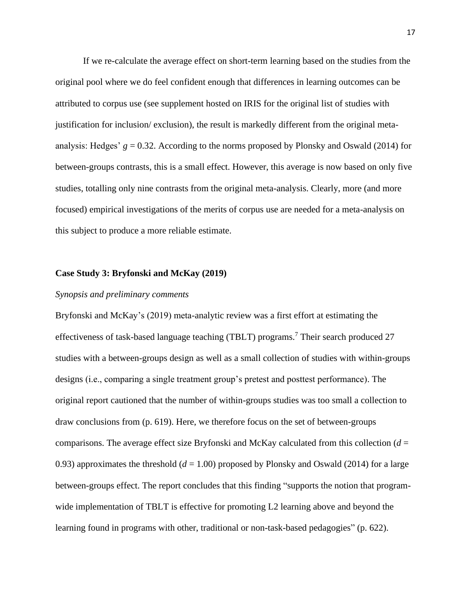If we re-calculate the average effect on short-term learning based on the studies from the original pool where we do feel confident enough that differences in learning outcomes can be attributed to corpus use (see supplement hosted on IRIS for the original list of studies with justification for inclusion/ exclusion), the result is markedly different from the original metaanalysis: Hedges'  $g = 0.32$ . According to the norms proposed by Plonsky and Oswald (2014) for between-groups contrasts, this is a small effect. However, this average is now based on only five studies, totalling only nine contrasts from the original meta-analysis. Clearly, more (and more focused) empirical investigations of the merits of corpus use are needed for a meta-analysis on this subject to produce a more reliable estimate.

# **Case Study 3: Bryfonski and McKay (2019)**

# *Synopsis and preliminary comments*

Bryfonski and McKay's (2019) meta-analytic review was a first effort at estimating the effectiveness of task-based language teaching (TBLT) programs.<sup>7</sup> Their search produced 27 studies with a between-groups design as well as a small collection of studies with within-groups designs (i.e., comparing a single treatment group's pretest and posttest performance). The original report cautioned that the number of within-groups studies was too small a collection to draw conclusions from (p. 619). Here, we therefore focus on the set of between-groups comparisons. The average effect size Bryfonski and McKay calculated from this collection (*d* = 0.93) approximates the threshold  $(d = 1.00)$  proposed by Plonsky and Oswald (2014) for a large between-groups effect. The report concludes that this finding "supports the notion that programwide implementation of TBLT is effective for promoting L2 learning above and beyond the learning found in programs with other, traditional or non-task-based pedagogies" (p. 622).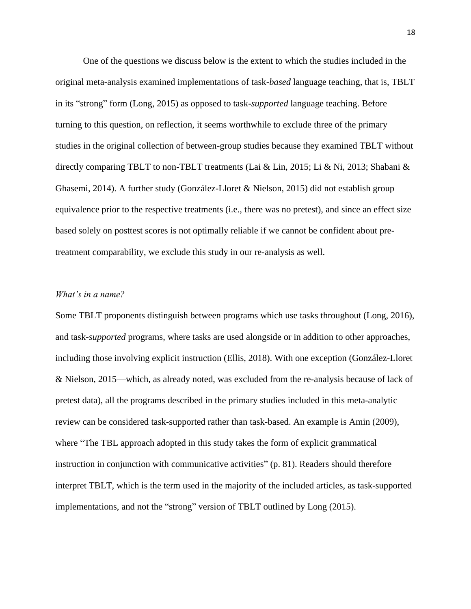One of the questions we discuss below is the extent to which the studies included in the original meta-analysis examined implementations of task-*based* language teaching, that is, TBLT in its "strong" form (Long, 2015) as opposed to task-*supported* language teaching. Before turning to this question, on reflection, it seems worthwhile to exclude three of the primary studies in the original collection of between-group studies because they examined TBLT without directly comparing TBLT to non-TBLT treatments (Lai & Lin, 2015; Li & Ni, 2013; Shabani & Ghasemi, 2014). A further study (González-Lloret & Nielson, 2015) did not establish group equivalence prior to the respective treatments (i.e., there was no pretest), and since an effect size based solely on posttest scores is not optimally reliable if we cannot be confident about pretreatment comparability, we exclude this study in our re-analysis as well.

# *What's in a name?*

Some TBLT proponents distinguish between programs which use tasks throughout (Long, 2016), and task-*supported* programs, where tasks are used alongside or in addition to other approaches, including those involving explicit instruction (Ellis, 2018). With one exception (González-Lloret & Nielson, 2015—which, as already noted, was excluded from the re-analysis because of lack of pretest data), all the programs described in the primary studies included in this meta-analytic review can be considered task-supported rather than task-based. An example is Amin (2009), where "The TBL approach adopted in this study takes the form of explicit grammatical instruction in conjunction with communicative activities" (p. 81). Readers should therefore interpret TBLT, which is the term used in the majority of the included articles, as task-supported implementations, and not the "strong" version of TBLT outlined by Long (2015).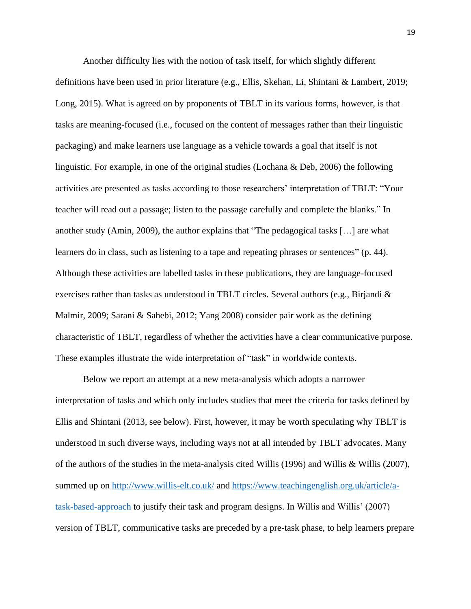Another difficulty lies with the notion of task itself, for which slightly different definitions have been used in prior literature (e.g., Ellis, Skehan, Li, Shintani & Lambert, 2019; Long, 2015). What is agreed on by proponents of TBLT in its various forms, however, is that tasks are meaning-focused (i.e., focused on the content of messages rather than their linguistic packaging) and make learners use language as a vehicle towards a goal that itself is not linguistic. For example, in one of the original studies (Lochana & Deb, 2006) the following activities are presented as tasks according to those researchers' interpretation of TBLT: "Your teacher will read out a passage; listen to the passage carefully and complete the blanks." In another study (Amin, 2009), the author explains that "The pedagogical tasks […] are what learners do in class, such as listening to a tape and repeating phrases or sentences" (p. 44). Although these activities are labelled tasks in these publications, they are language-focused exercises rather than tasks as understood in TBLT circles. Several authors (e.g., Birjandi  $\&$ Malmir, 2009; Sarani & Sahebi, 2012; Yang 2008) consider pair work as the defining characteristic of TBLT, regardless of whether the activities have a clear communicative purpose. These examples illustrate the wide interpretation of "task" in worldwide contexts.

Below we report an attempt at a new meta-analysis which adopts a narrower interpretation of tasks and which only includes studies that meet the criteria for tasks defined by Ellis and Shintani (2013, see below). First, however, it may be worth speculating why TBLT is understood in such diverse ways, including ways not at all intended by TBLT advocates. Many of the authors of the studies in the meta-analysis cited Willis (1996) and Willis & Willis (2007), summed up on <http://www.willis-elt.co.uk/> and [https://www.teachingenglish.org.uk/article/a](https://www.teachingenglish.org.uk/article/a-task-based-approach)[task-based-approach](https://www.teachingenglish.org.uk/article/a-task-based-approach) to justify their task and program designs. In Willis and Willis' (2007) version of TBLT, communicative tasks are preceded by a pre-task phase, to help learners prepare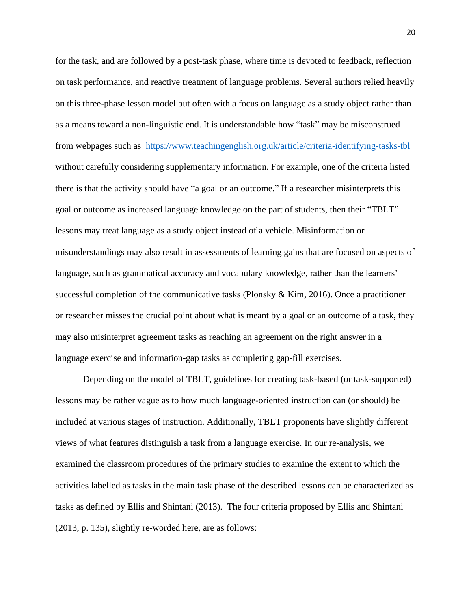for the task, and are followed by a post-task phase, where time is devoted to feedback, reflection on task performance, and reactive treatment of language problems. Several authors relied heavily on this three-phase lesson model but often with a focus on language as a study object rather than as a means toward a non-linguistic end. It is understandable how "task" may be misconstrued from webpages such as <https://www.teachingenglish.org.uk/article/criteria-identifying-tasks-tbl> without carefully considering supplementary information. For example, one of the criteria listed there is that the activity should have "a goal or an outcome." If a researcher misinterprets this goal or outcome as increased language knowledge on the part of students, then their "TBLT" lessons may treat language as a study object instead of a vehicle. Misinformation or misunderstandings may also result in assessments of learning gains that are focused on aspects of language, such as grammatical accuracy and vocabulary knowledge, rather than the learners' successful completion of the communicative tasks (Plonsky  $\&$  Kim, 2016). Once a practitioner or researcher misses the crucial point about what is meant by a goal or an outcome of a task, they may also misinterpret agreement tasks as reaching an agreement on the right answer in a language exercise and information-gap tasks as completing gap-fill exercises.

Depending on the model of TBLT, guidelines for creating task-based (or task-supported) lessons may be rather vague as to how much language-oriented instruction can (or should) be included at various stages of instruction. Additionally, TBLT proponents have slightly different views of what features distinguish a task from a language exercise. In our re-analysis, we examined the classroom procedures of the primary studies to examine the extent to which the activities labelled as tasks in the main task phase of the described lessons can be characterized as tasks as defined by Ellis and Shintani (2013). The four criteria proposed by Ellis and Shintani (2013, p. 135), slightly re-worded here, are as follows: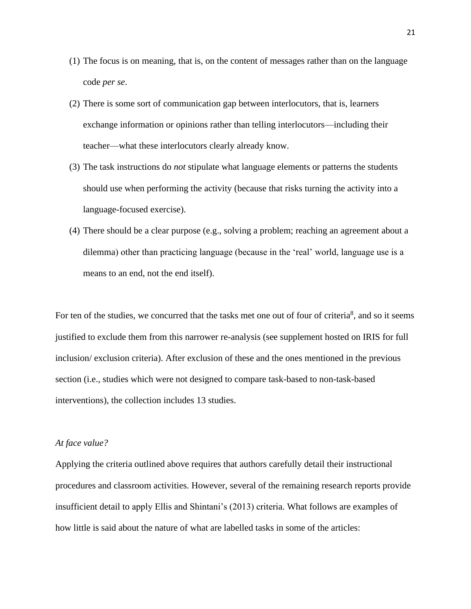- (1) The focus is on meaning, that is, on the content of messages rather than on the language code *per se*.
- (2) There is some sort of communication gap between interlocutors, that is, learners exchange information or opinions rather than telling interlocutors—including their teacher—what these interlocutors clearly already know.
- (3) The task instructions do *not* stipulate what language elements or patterns the students should use when performing the activity (because that risks turning the activity into a language-focused exercise).
- (4) There should be a clear purpose (e.g., solving a problem; reaching an agreement about a dilemma) other than practicing language (because in the 'real' world, language use is a means to an end, not the end itself).

For ten of the studies, we concurred that the tasks met one out of four of criteria<sup>8</sup>, and so it seems justified to exclude them from this narrower re-analysis (see supplement hosted on IRIS for full inclusion/ exclusion criteria). After exclusion of these and the ones mentioned in the previous section (i.e., studies which were not designed to compare task-based to non-task-based interventions), the collection includes 13 studies.

## *At face value?*

Applying the criteria outlined above requires that authors carefully detail their instructional procedures and classroom activities. However, several of the remaining research reports provide insufficient detail to apply Ellis and Shintani's (2013) criteria. What follows are examples of how little is said about the nature of what are labelled tasks in some of the articles: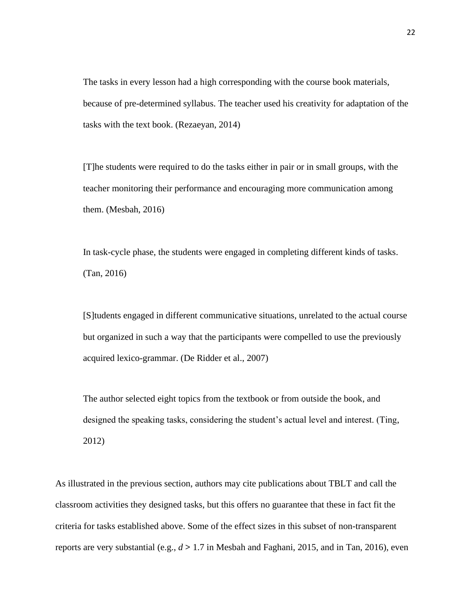The tasks in every lesson had a high corresponding with the course book materials, because of pre-determined syllabus. The teacher used his creativity for adaptation of the tasks with the text book. (Rezaeyan, 2014)

[T]he students were required to do the tasks either in pair or in small groups, with the teacher monitoring their performance and encouraging more communication among them. (Mesbah, 2016)

In task-cycle phase, the students were engaged in completing different kinds of tasks. (Tan, 2016)

[S]tudents engaged in different communicative situations, unrelated to the actual course but organized in such a way that the participants were compelled to use the previously acquired lexico-grammar. (De Ridder et al., 2007)

The author selected eight topics from the textbook or from outside the book, and designed the speaking tasks, considering the student's actual level and interest. (Ting, 2012)

As illustrated in the previous section, authors may cite publications about TBLT and call the classroom activities they designed tasks, but this offers no guarantee that these in fact fit the criteria for tasks established above. Some of the effect sizes in this subset of non-transparent reports are very substantial (e.g., *d* **>** 1.7 in Mesbah and Faghani, 2015, and in Tan, 2016), even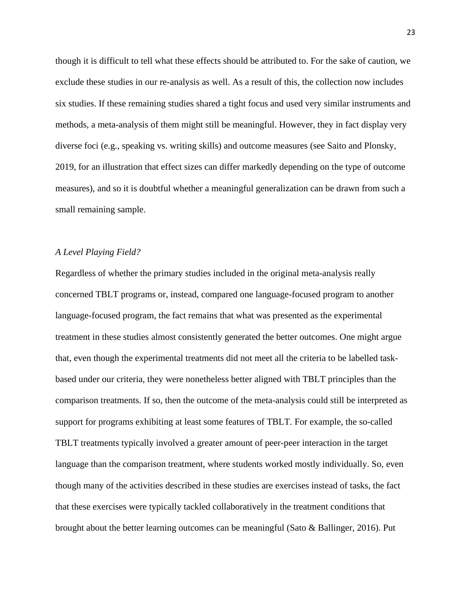though it is difficult to tell what these effects should be attributed to. For the sake of caution, we exclude these studies in our re-analysis as well. As a result of this, the collection now includes six studies. If these remaining studies shared a tight focus and used very similar instruments and methods, a meta-analysis of them might still be meaningful. However, they in fact display very diverse foci (e.g., speaking vs. writing skills) and outcome measures (see Saito and Plonsky, 2019, for an illustration that effect sizes can differ markedly depending on the type of outcome measures), and so it is doubtful whether a meaningful generalization can be drawn from such a small remaining sample.

## *A Level Playing Field?*

Regardless of whether the primary studies included in the original meta-analysis really concerned TBLT programs or, instead, compared one language-focused program to another language-focused program, the fact remains that what was presented as the experimental treatment in these studies almost consistently generated the better outcomes. One might argue that, even though the experimental treatments did not meet all the criteria to be labelled taskbased under our criteria, they were nonetheless better aligned with TBLT principles than the comparison treatments. If so, then the outcome of the meta-analysis could still be interpreted as support for programs exhibiting at least some features of TBLT. For example, the so-called TBLT treatments typically involved a greater amount of peer-peer interaction in the target language than the comparison treatment, where students worked mostly individually. So, even though many of the activities described in these studies are exercises instead of tasks, the fact that these exercises were typically tackled collaboratively in the treatment conditions that brought about the better learning outcomes can be meaningful (Sato & Ballinger, 2016). Put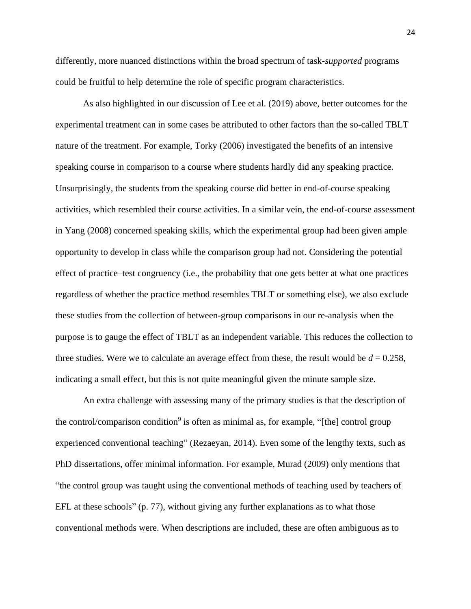differently, more nuanced distinctions within the broad spectrum of task-*supported* programs could be fruitful to help determine the role of specific program characteristics.

As also highlighted in our discussion of Lee et al. (2019) above, better outcomes for the experimental treatment can in some cases be attributed to other factors than the so-called TBLT nature of the treatment. For example, Torky (2006) investigated the benefits of an intensive speaking course in comparison to a course where students hardly did any speaking practice. Unsurprisingly, the students from the speaking course did better in end-of-course speaking activities, which resembled their course activities. In a similar vein, the end-of-course assessment in Yang (2008) concerned speaking skills, which the experimental group had been given ample opportunity to develop in class while the comparison group had not. Considering the potential effect of practice–test congruency (i.e., the probability that one gets better at what one practices regardless of whether the practice method resembles TBLT or something else), we also exclude these studies from the collection of between-group comparisons in our re-analysis when the purpose is to gauge the effect of TBLT as an independent variable. This reduces the collection to three studies. Were we to calculate an average effect from these, the result would be  $d = 0.258$ , indicating a small effect, but this is not quite meaningful given the minute sample size.

An extra challenge with assessing many of the primary studies is that the description of the control/comparison condition<sup>9</sup> is often as minimal as, for example, "[the] control group experienced conventional teaching" (Rezaeyan, 2014). Even some of the lengthy texts, such as PhD dissertations, offer minimal information. For example, Murad (2009) only mentions that "the control group was taught using the conventional methods of teaching used by teachers of EFL at these schools" (p. 77), without giving any further explanations as to what those conventional methods were. When descriptions are included, these are often ambiguous as to

24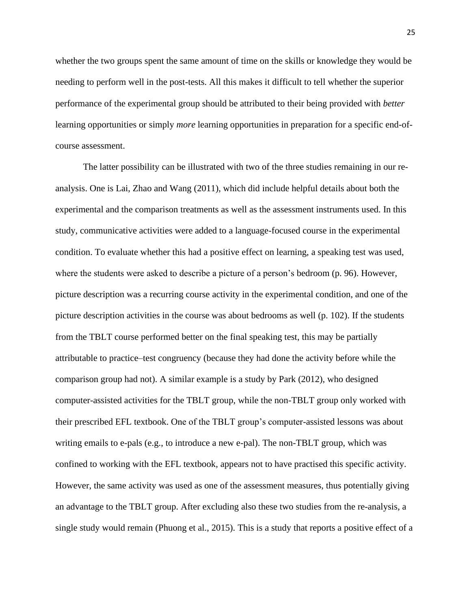whether the two groups spent the same amount of time on the skills or knowledge they would be needing to perform well in the post-tests. All this makes it difficult to tell whether the superior performance of the experimental group should be attributed to their being provided with *better* learning opportunities or simply *more* learning opportunities in preparation for a specific end-ofcourse assessment.

The latter possibility can be illustrated with two of the three studies remaining in our reanalysis. One is Lai, Zhao and Wang (2011), which did include helpful details about both the experimental and the comparison treatments as well as the assessment instruments used. In this study, communicative activities were added to a language-focused course in the experimental condition. To evaluate whether this had a positive effect on learning, a speaking test was used, where the students were asked to describe a picture of a person's bedroom (p. 96). However, picture description was a recurring course activity in the experimental condition, and one of the picture description activities in the course was about bedrooms as well (p. 102). If the students from the TBLT course performed better on the final speaking test, this may be partially attributable to practice–test congruency (because they had done the activity before while the comparison group had not). A similar example is a study by Park (2012), who designed computer-assisted activities for the TBLT group, while the non-TBLT group only worked with their prescribed EFL textbook. One of the TBLT group's computer-assisted lessons was about writing emails to e-pals (e.g., to introduce a new e-pal). The non-TBLT group, which was confined to working with the EFL textbook, appears not to have practised this specific activity. However, the same activity was used as one of the assessment measures, thus potentially giving an advantage to the TBLT group. After excluding also these two studies from the re-analysis, a single study would remain (Phuong et al., 2015). This is a study that reports a positive effect of a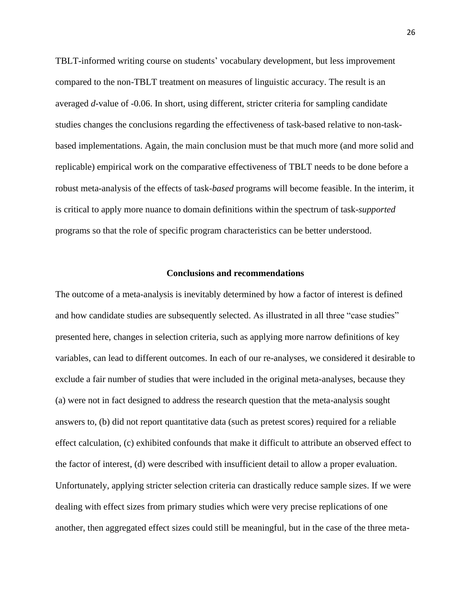TBLT-informed writing course on students' vocabulary development, but less improvement compared to the non-TBLT treatment on measures of linguistic accuracy. The result is an averaged *d*-value of -0.06. In short, using different, stricter criteria for sampling candidate studies changes the conclusions regarding the effectiveness of task-based relative to non-taskbased implementations. Again, the main conclusion must be that much more (and more solid and replicable) empirical work on the comparative effectiveness of TBLT needs to be done before a robust meta-analysis of the effects of task-*based* programs will become feasible. In the interim, it is critical to apply more nuance to domain definitions within the spectrum of task-*supported* programs so that the role of specific program characteristics can be better understood.

## **Conclusions and recommendations**

The outcome of a meta-analysis is inevitably determined by how a factor of interest is defined and how candidate studies are subsequently selected. As illustrated in all three "case studies" presented here, changes in selection criteria, such as applying more narrow definitions of key variables, can lead to different outcomes. In each of our re-analyses, we considered it desirable to exclude a fair number of studies that were included in the original meta-analyses, because they (a) were not in fact designed to address the research question that the meta-analysis sought answers to, (b) did not report quantitative data (such as pretest scores) required for a reliable effect calculation, (c) exhibited confounds that make it difficult to attribute an observed effect to the factor of interest, (d) were described with insufficient detail to allow a proper evaluation. Unfortunately, applying stricter selection criteria can drastically reduce sample sizes. If we were dealing with effect sizes from primary studies which were very precise replications of one another, then aggregated effect sizes could still be meaningful, but in the case of the three meta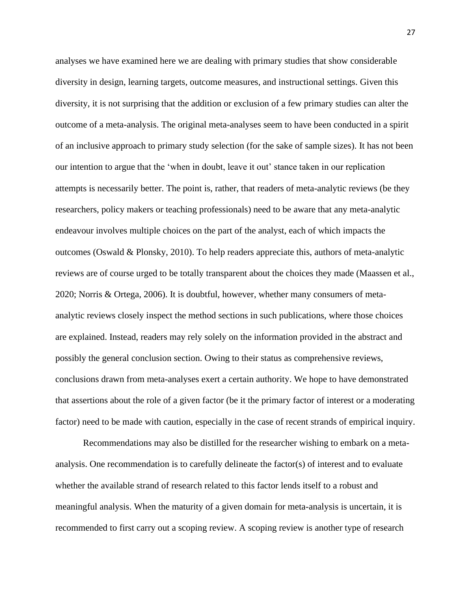analyses we have examined here we are dealing with primary studies that show considerable diversity in design, learning targets, outcome measures, and instructional settings. Given this diversity, it is not surprising that the addition or exclusion of a few primary studies can alter the outcome of a meta-analysis. The original meta-analyses seem to have been conducted in a spirit of an inclusive approach to primary study selection (for the sake of sample sizes). It has not been our intention to argue that the 'when in doubt, leave it out' stance taken in our replication attempts is necessarily better. The point is, rather, that readers of meta-analytic reviews (be they researchers, policy makers or teaching professionals) need to be aware that any meta-analytic endeavour involves multiple choices on the part of the analyst, each of which impacts the outcomes (Oswald & Plonsky, 2010). To help readers appreciate this, authors of meta-analytic reviews are of course urged to be totally transparent about the choices they made (Maassen et al., 2020; Norris & Ortega, 2006). It is doubtful, however, whether many consumers of metaanalytic reviews closely inspect the method sections in such publications, where those choices are explained. Instead, readers may rely solely on the information provided in the abstract and possibly the general conclusion section. Owing to their status as comprehensive reviews, conclusions drawn from meta-analyses exert a certain authority. We hope to have demonstrated that assertions about the role of a given factor (be it the primary factor of interest or a moderating factor) need to be made with caution, especially in the case of recent strands of empirical inquiry.

Recommendations may also be distilled for the researcher wishing to embark on a metaanalysis. One recommendation is to carefully delineate the factor(s) of interest and to evaluate whether the available strand of research related to this factor lends itself to a robust and meaningful analysis. When the maturity of a given domain for meta-analysis is uncertain, it is recommended to first carry out a scoping review. A scoping review is another type of research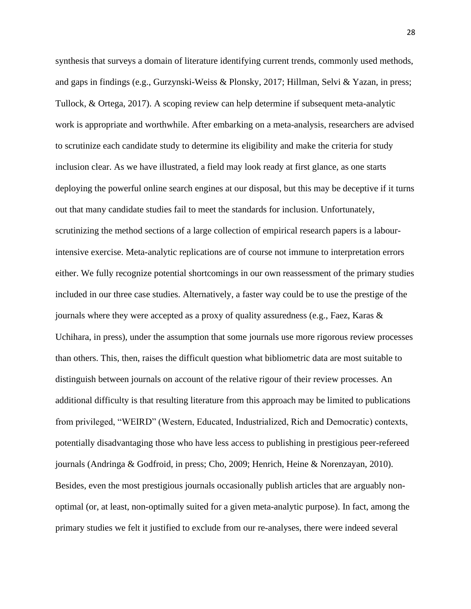synthesis that surveys a domain of literature identifying current trends, commonly used methods, and gaps in findings (e.g., Gurzynski-Weiss & Plonsky, 2017; Hillman, Selvi & Yazan, in press; Tullock, & Ortega, 2017). A scoping review can help determine if subsequent meta-analytic work is appropriate and worthwhile. After embarking on a meta-analysis, researchers are advised to scrutinize each candidate study to determine its eligibility and make the criteria for study inclusion clear. As we have illustrated, a field may look ready at first glance, as one starts deploying the powerful online search engines at our disposal, but this may be deceptive if it turns out that many candidate studies fail to meet the standards for inclusion. Unfortunately, scrutinizing the method sections of a large collection of empirical research papers is a labourintensive exercise. Meta-analytic replications are of course not immune to interpretation errors either. We fully recognize potential shortcomings in our own reassessment of the primary studies included in our three case studies. Alternatively, a faster way could be to use the prestige of the journals where they were accepted as a proxy of quality assuredness (e.g., Faez, Karas & Uchihara, in press), under the assumption that some journals use more rigorous review processes than others. This, then, raises the difficult question what bibliometric data are most suitable to distinguish between journals on account of the relative rigour of their review processes. An additional difficulty is that resulting literature from this approach may be limited to publications from privileged, "WEIRD" (Western, Educated, Industrialized, Rich and Democratic) contexts, potentially disadvantaging those who have less access to publishing in prestigious peer-refereed journals (Andringa & Godfroid, in press; Cho, 2009; Henrich, Heine & Norenzayan, 2010). Besides, even the most prestigious journals occasionally publish articles that are arguably nonoptimal (or, at least, non-optimally suited for a given meta-analytic purpose). In fact, among the primary studies we felt it justified to exclude from our re-analyses, there were indeed several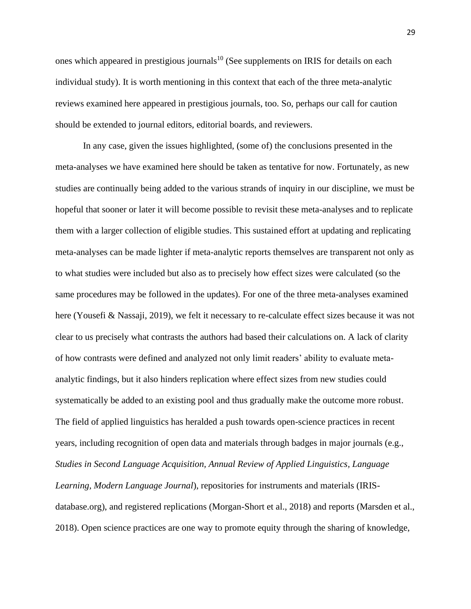ones which appeared in prestigious journals<sup>10</sup> (See supplements on IRIS for details on each individual study). It is worth mentioning in this context that each of the three meta-analytic reviews examined here appeared in prestigious journals, too. So, perhaps our call for caution should be extended to journal editors, editorial boards, and reviewers.

In any case, given the issues highlighted, (some of) the conclusions presented in the meta-analyses we have examined here should be taken as tentative for now. Fortunately, as new studies are continually being added to the various strands of inquiry in our discipline, we must be hopeful that sooner or later it will become possible to revisit these meta-analyses and to replicate them with a larger collection of eligible studies. This sustained effort at updating and replicating meta-analyses can be made lighter if meta-analytic reports themselves are transparent not only as to what studies were included but also as to precisely how effect sizes were calculated (so the same procedures may be followed in the updates). For one of the three meta-analyses examined here (Yousefi & Nassaji, 2019), we felt it necessary to re-calculate effect sizes because it was not clear to us precisely what contrasts the authors had based their calculations on. A lack of clarity of how contrasts were defined and analyzed not only limit readers' ability to evaluate metaanalytic findings, but it also hinders replication where effect sizes from new studies could systematically be added to an existing pool and thus gradually make the outcome more robust. The field of applied linguistics has heralded a push towards open-science practices in recent years, including recognition of open data and materials through badges in major journals (e.g., *Studies in Second Language Acquisition, Annual Review of Applied Linguistics, Language Learning, Modern Language Journal*), repositories for instruments and materials (IRISdatabase.org), and registered replications (Morgan-Short et al., 2018) and reports (Marsden et al., 2018). Open science practices are one way to promote equity through the sharing of knowledge,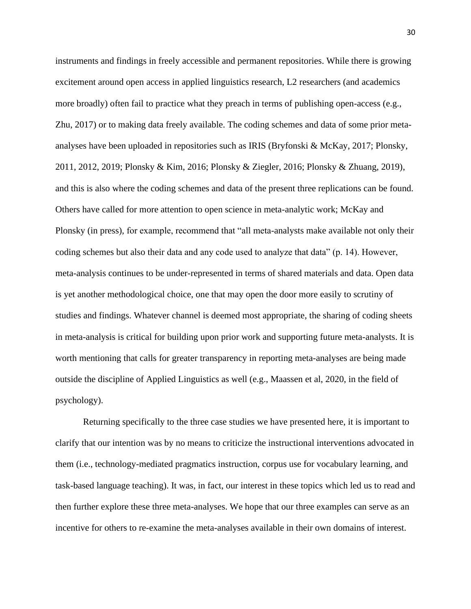instruments and findings in freely accessible and permanent repositories. While there is growing excitement around open access in applied linguistics research, L2 researchers (and academics more broadly) often fail to practice what they preach in terms of publishing open-access (e.g., Zhu, 2017) or to making data freely available. The coding schemes and data of some prior metaanalyses have been uploaded in repositories such as IRIS (Bryfonski & McKay, 2017; Plonsky, 2011, 2012, 2019; Plonsky & Kim, 2016; Plonsky & Ziegler, 2016; Plonsky & Zhuang, 2019), and this is also where the coding schemes and data of the present three replications can be found. Others have called for more attention to open science in meta-analytic work; McKay and Plonsky (in press), for example, recommend that "all meta-analysts make available not only their coding schemes but also their data and any code used to analyze that data" (p. 14). However, meta-analysis continues to be under-represented in terms of shared materials and data. Open data is yet another methodological choice, one that may open the door more easily to scrutiny of studies and findings. Whatever channel is deemed most appropriate, the sharing of coding sheets in meta-analysis is critical for building upon prior work and supporting future meta-analysts. It is worth mentioning that calls for greater transparency in reporting meta-analyses are being made outside the discipline of Applied Linguistics as well (e.g., Maassen et al, 2020, in the field of psychology).

Returning specifically to the three case studies we have presented here, it is important to clarify that our intention was by no means to criticize the instructional interventions advocated in them (i.e., technology-mediated pragmatics instruction, corpus use for vocabulary learning, and task-based language teaching). It was, in fact, our interest in these topics which led us to read and then further explore these three meta-analyses. We hope that our three examples can serve as an incentive for others to re-examine the meta-analyses available in their own domains of interest.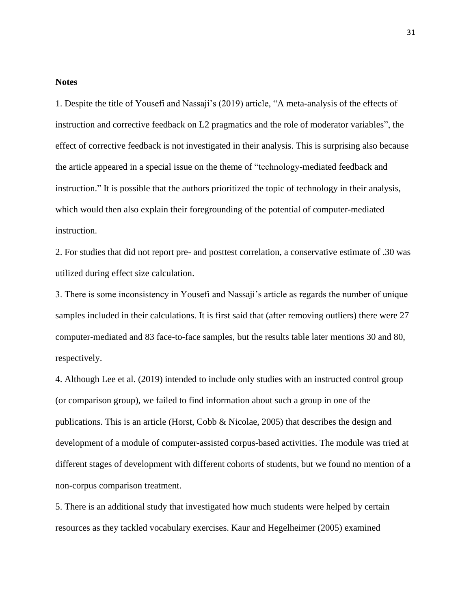## **Notes**

1. Despite the title of Yousefi and Nassaji's (2019) article, "A meta-analysis of the effects of instruction and corrective feedback on L2 pragmatics and the role of moderator variables", the effect of corrective feedback is not investigated in their analysis. This is surprising also because the article appeared in a special issue on the theme of "technology-mediated feedback and instruction." It is possible that the authors prioritized the topic of technology in their analysis, which would then also explain their foregrounding of the potential of computer-mediated instruction.

2. For studies that did not report pre- and posttest correlation, a conservative estimate of .30 was utilized during effect size calculation.

3. There is some inconsistency in Yousefi and Nassaji's article as regards the number of unique samples included in their calculations. It is first said that (after removing outliers) there were 27 computer-mediated and 83 face-to-face samples, but the results table later mentions 30 and 80, respectively.

4. Although Lee et al. (2019) intended to include only studies with an instructed control group (or comparison group), we failed to find information about such a group in one of the publications. This is an article (Horst, Cobb & Nicolae, 2005) that describes the design and development of a module of computer-assisted corpus-based activities. The module was tried at different stages of development with different cohorts of students, but we found no mention of a non-corpus comparison treatment.

5. There is an additional study that investigated how much students were helped by certain resources as they tackled vocabulary exercises. Kaur and Hegelheimer (2005) examined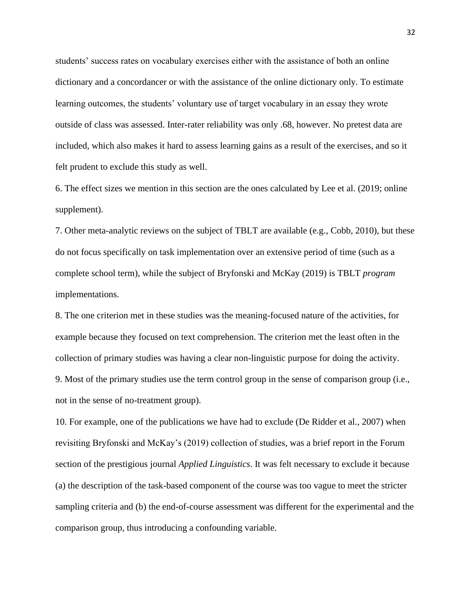students' success rates on vocabulary exercises either with the assistance of both an online dictionary and a concordancer or with the assistance of the online dictionary only. To estimate learning outcomes, the students' voluntary use of target vocabulary in an essay they wrote outside of class was assessed. Inter-rater reliability was only .68, however. No pretest data are included, which also makes it hard to assess learning gains as a result of the exercises, and so it felt prudent to exclude this study as well.

6. The effect sizes we mention in this section are the ones calculated by Lee et al. (2019; online supplement).

7. Other meta-analytic reviews on the subject of TBLT are available (e.g., Cobb, 2010), but these do not focus specifically on task implementation over an extensive period of time (such as a complete school term), while the subject of Bryfonski and McKay (2019) is TBLT *program* implementations.

8. The one criterion met in these studies was the meaning-focused nature of the activities, for example because they focused on text comprehension. The criterion met the least often in the collection of primary studies was having a clear non-linguistic purpose for doing the activity. 9. Most of the primary studies use the term control group in the sense of comparison group (i.e., not in the sense of no-treatment group).

10. For example, one of the publications we have had to exclude (De Ridder et al., 2007) when revisiting Bryfonski and McKay's (2019) collection of studies, was a brief report in the Forum section of the prestigious journal *Applied Linguistics*. It was felt necessary to exclude it because (a) the description of the task-based component of the course was too vague to meet the stricter sampling criteria and (b) the end-of-course assessment was different for the experimental and the comparison group, thus introducing a confounding variable.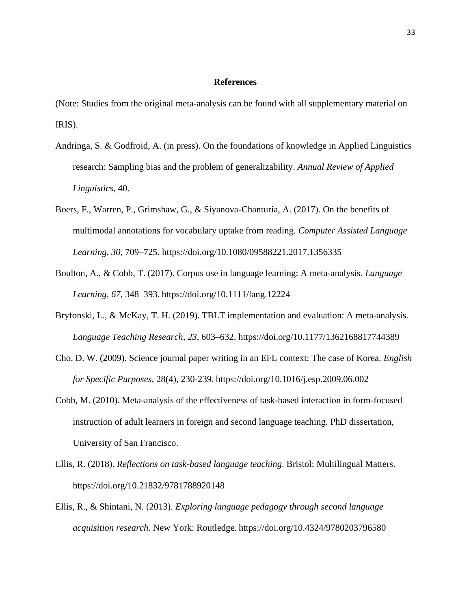# **References**

(Note: Studies from the original meta-analysis can be found with all supplementary material on IRIS).

- Andringa, S. & Godfroid, A. (in press). On the foundations of knowledge in Applied Linguistics research: Sampling bias and the problem of generalizability. *Annual Review of Applied Linguistics*, 40.
- Boers, F., Warren, P., Grimshaw, G., & Siyanova-Chanturia, A. (2017). On the benefits of multimodal annotations for vocabulary uptake from reading. *Computer Assisted Language Learning, 30*, 709–725. https://doi.org/10.1080/09588221.2017.1356335
- Boulton, A., & Cobb, T. (2017). Corpus use in language learning: A meta-analysis. *Language Learning, 67*, 348–393. https://doi.org/10.1111/lang.12224
- Bryfonski, L., & McKay, T. H. (2019). TBLT implementation and evaluation: A meta-analysis. *Language Teaching Research, 23*, 603–632. https://doi.org/10.1177/1362168817744389
- Cho, D. W. (2009). Science journal paper writing in an EFL context: The case of Korea. *English for Specific Purposes*, 28(4), 230-239. https://doi.org/10.1016/j.esp.2009.06.002
- Cobb, M. (2010). Meta-analysis of the effectiveness of task-based interaction in form-focused instruction of adult learners in foreign and second language teaching. PhD dissertation, University of San Francisco.
- Ellis, R. (2018). *Reflections on task-based language teaching*. Bristol: Multilingual Matters. https://doi.org/10.21832/9781788920148
- Ellis, R., & Shintani, N. (2013). *Exploring language pedagogy through second language acquisition research*. New York: Routledge. https://doi.org/10.4324/9780203796580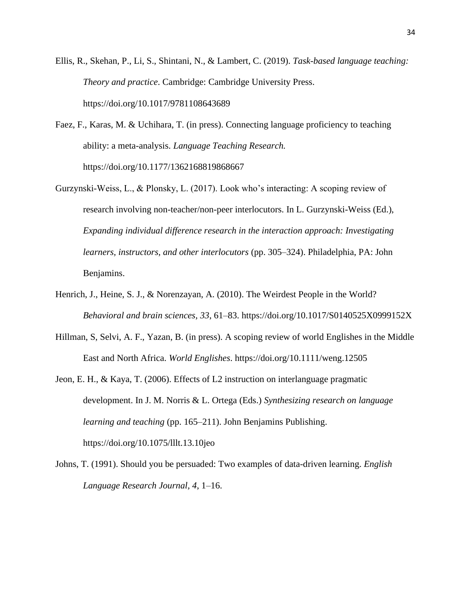Ellis, R., Skehan, P., Li, S., Shintani, N., & Lambert, C. (2019). *Task-based language teaching: Theory and practice*. Cambridge: Cambridge University Press. <https://doi.org/10.1017/9781108643689>

- Faez, F., Karas, M. & Uchihara, T. (in press). Connecting language proficiency to teaching ability: a meta-analysis. *Language Teaching Research.*  https://doi.org/10.1177/1362168819868667
- Gurzynski-Weiss, L., & Plonsky, L. (2017). Look who's interacting: A scoping review of research involving non-teacher/non-peer interlocutors. In L. Gurzynski-Weiss (Ed.), *Expanding individual difference research in the interaction approach: Investigating learners, instructors, and other interlocutors* (pp. 305–324). Philadelphia, PA: John Benjamins.
- Henrich, J., Heine, S. J., & Norenzayan, A. (2010). The Weirdest People in the World? *Behavioral and brain sciences, 33*, 61–83. https://doi.org/10.1017/S0140525X0999152X
- Hillman, S, Selvi, A. F., Yazan, B. (in press). A scoping review of world Englishes in the Middle East and North Africa. *World Englishes*. <https://doi.org/10.1111/weng.12505>
- Jeon, E. H., & Kaya, T. (2006). Effects of L2 instruction on interlanguage pragmatic development. In J. M. Norris & L. Ortega (Eds.) *Synthesizing research on language learning and teaching* (pp. 165–211). John Benjamins Publishing. https://doi.org/10.1075/lllt.13.10jeo
- Johns, T. (1991). Should you be persuaded: Two examples of data-driven learning. *English Language Research Journal, 4*, 1–16.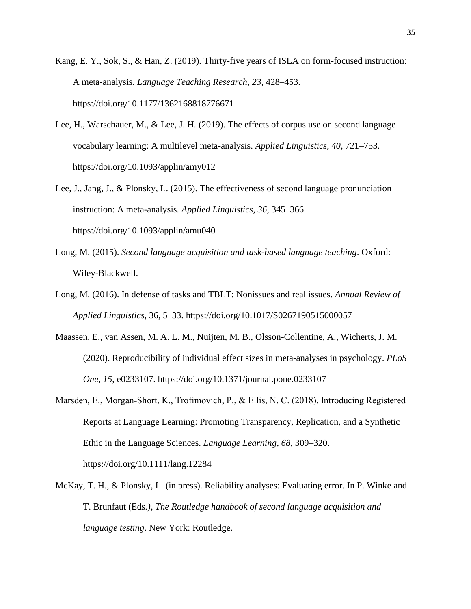- Kang, E. Y., Sok, S., & Han, Z. (2019). Thirty-five years of ISLA on form-focused instruction: A meta-analysis. *Language Teaching Research, 23*, 428–453. https://doi.org/10.1177/1362168818776671
- Lee, H., Warschauer, M., & Lee, J. H. (2019). The effects of corpus use on second language vocabulary learning: A multilevel meta-analysis. *Applied Linguistics, 40,* 721–753. https://doi.org/10.1093/applin/amy012
- Lee, J., Jang, J., & Plonsky, L. (2015). The effectiveness of second language pronunciation instruction: A meta-analysis. *Applied Linguistics, 36*, 345–366. https://doi.org/10.1093/applin/amu040
- Long, M. (2015). *Second language acquisition and task-based language teaching*. Oxford: Wiley-Blackwell.
- Long, M. (2016). In defense of tasks and TBLT: Nonissues and real issues. *Annual Review of Applied Linguistics*, 36, 5–33. https://doi.org/10.1017/S0267190515000057
- Maassen, E., van Assen, M. A. L. M., Nuijten, M. B., Olsson-Collentine, A., Wicherts, J. M. (2020). Reproducibility of individual effect sizes in meta-analyses in psychology. *PLoS One, 15*, e0233107. https://doi.org/10.1371/journal.pone.0233107
- Marsden, E., Morgan‐Short, K., Trofimovich, P., & Ellis, N. C. (2018). Introducing Registered Reports at Language Learning: Promoting Transparency, Replication, and a Synthetic Ethic in the Language Sciences. *Language Learning*, *68*, 309–320. https://doi.org/10.1111/lang.12284
- McKay, T. H., & Plonsky, L. (in press). Reliability analyses: Evaluating error. In P. Winke and T. Brunfaut (Eds*.), The Routledge handbook of second language acquisition and language testing*. New York: Routledge.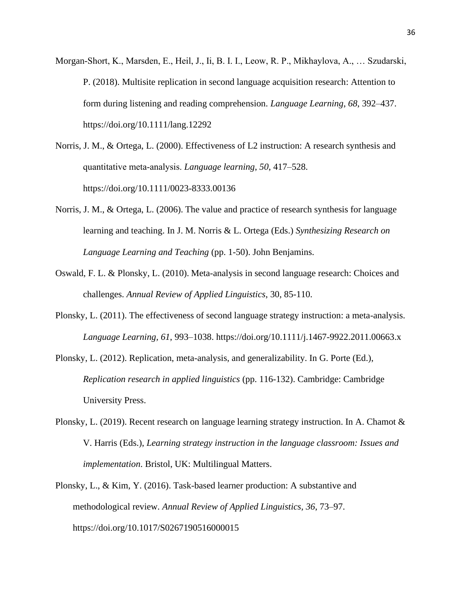- Morgan-Short, K., Marsden, E., Heil, J., Ii, B. I. I., Leow, R. P., Mikhaylova, A., … Szudarski, P. (2018). Multisite replication in second language acquisition research: Attention to form during listening and reading comprehension. *Language Learning*, *68*, 392–437. <https://doi.org/10.1111/lang.12292>
- Norris, J. M., & Ortega, L. (2000). Effectiveness of L2 instruction: A research synthesis and quantitative meta‐analysis. *Language learning*, *50*, 417–528. https://doi.org/10.1111/0023-8333.00136
- Norris, J. M., & Ortega, L. (2006). The value and practice of research synthesis for language learning and teaching. In J. M. Norris & L. Ortega (Eds.) *Synthesizing Research on Language Learning and Teaching* (pp. 1-50). John Benjamins.
- Oswald, F. L. & Plonsky, L. (2010). Meta-analysis in second language research: Choices and challenges. *Annual Review of Applied Linguistics*, 30, 85-110.
- Plonsky, L. (2011). The effectiveness of second language strategy instruction: a meta-analysis. *Language Learning, 61*, 993–1038. https://doi.org/10.1111/j.1467-9922.2011.00663.x
- Plonsky, L. (2012). Replication, meta-analysis, and generalizability. In G. Porte (Ed.), *Replication research in applied linguistics* (pp. 116-132). Cambridge: Cambridge University Press.
- Plonsky, L. (2019). Recent research on language learning strategy instruction. In A. Chamot  $\&$ V. Harris (Eds.), *Learning strategy instruction in the language classroom: Issues and implementation*. Bristol, UK: Multilingual Matters.
- Plonsky, L., & Kim, Y. (2016). Task-based learner production: A substantive and methodological review. *Annual Review of Applied Linguistics, 36*, 73–97. https://doi.org/10.1017/S0267190516000015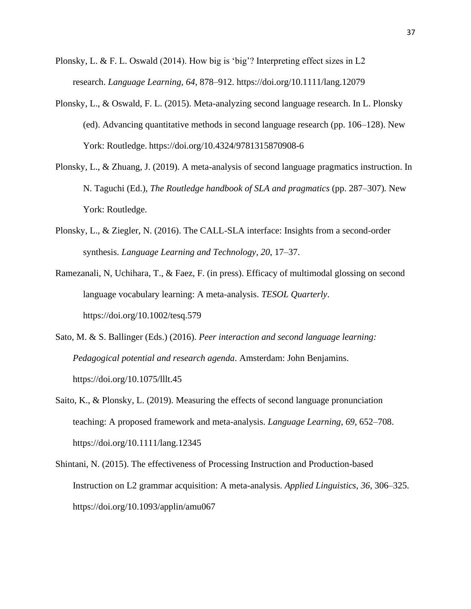- Plonsky, L. & F. L. Oswald (2014). How big is 'big'? Interpreting effect sizes in L2 research. *Language Learning, 64*, 878–912. https://doi.org/10.1111/lang.12079
- Plonsky, L., & Oswald, F. L. (2015). Meta-analyzing second language research. In L. Plonsky (ed). Advancing quantitative methods in second language research (pp. 106–128). New York: Routledge. https://doi.org/10.4324/9781315870908-6
- Plonsky, L., & Zhuang, J. (2019). A meta-analysis of second language pragmatics instruction. In N. Taguchi (Ed.), *The Routledge handbook of SLA and pragmatics* (pp. 287–307)*.* New York: Routledge.
- Plonsky, L., & Ziegler, N. (2016). The CALL-SLA interface: Insights from a second-order synthesis. *Language Learning and Technology, 20*, 17–37.
- Ramezanali, N, Uchihara, T., & Faez, F. (in press). Efficacy of multimodal glossing on second language vocabulary learning: A meta-analysis. *TESOL Quarterly*. https://doi.org/10.1002/tesq.579
- Sato, M. & S. Ballinger (Eds.) (2016). *Peer interaction and second language learning: Pedagogical potential and research agenda*. Amsterdam: John Benjamins. https://doi.org/10.1075/lllt.45
- Saito, K., & Plonsky, L. (2019). Measuring the effects of second language pronunciation teaching: A proposed framework and meta-analysis. *Language Learning, 69*, 652–708. https://doi.org/10.1111/lang.12345
- Shintani, N. (2015). The effectiveness of Processing Instruction and Production-based Instruction on L2 grammar acquisition: A meta-analysis. *Applied Linguistics, 36*, 306–325. https://doi.org/10.1093/applin/amu067